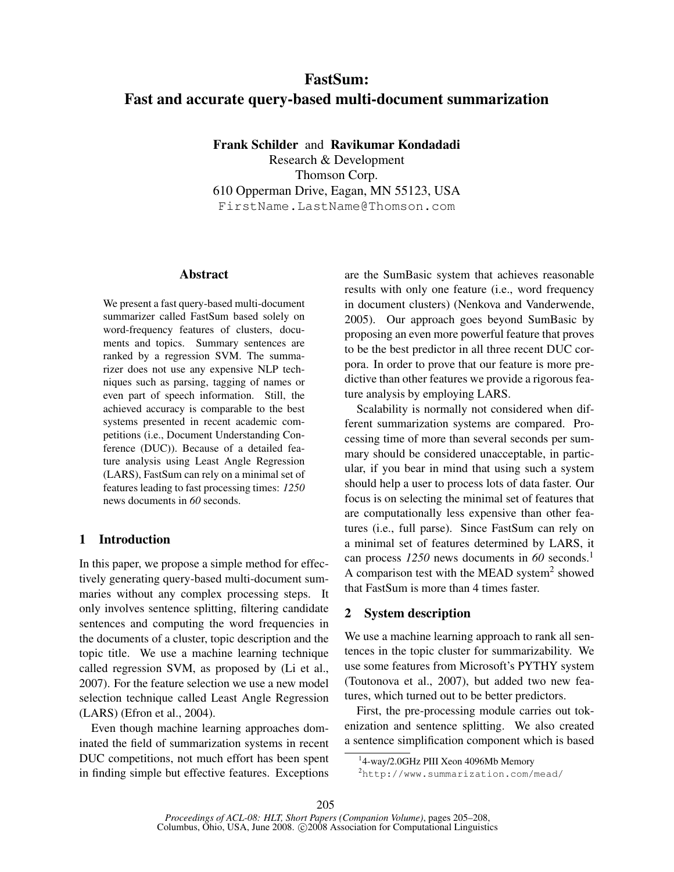# FastSum: Fast and accurate query-based multi-document summarization

Frank Schilder and Ravikumar Kondadadi

Research & Development Thomson Corp. 610 Opperman Drive, Eagan, MN 55123, USA FirstName.LastName@Thomson.com

#### Abstract

We present a fast query-based multi-document summarizer called FastSum based solely on word-frequency features of clusters, documents and topics. Summary sentences are ranked by a regression SVM. The summarizer does not use any expensive NLP techniques such as parsing, tagging of names or even part of speech information. Still, the achieved accuracy is comparable to the best systems presented in recent academic competitions (i.e., Document Understanding Conference (DUC)). Because of a detailed feature analysis using Least Angle Regression (LARS), FastSum can rely on a minimal set of features leading to fast processing times: *1250* news documents in *60* seconds.

## 1 Introduction

In this paper, we propose a simple method for effectively generating query-based multi-document summaries without any complex processing steps. It only involves sentence splitting, filtering candidate sentences and computing the word frequencies in the documents of a cluster, topic description and the topic title. We use a machine learning technique called regression SVM, as proposed by (Li et al., 2007). For the feature selection we use a new model selection technique called Least Angle Regression (LARS) (Efron et al., 2004).

Even though machine learning approaches dominated the field of summarization systems in recent DUC competitions, not much effort has been spent in finding simple but effective features. Exceptions are the SumBasic system that achieves reasonable results with only one feature (i.e., word frequency in document clusters) (Nenkova and Vanderwende, 2005). Our approach goes beyond SumBasic by proposing an even more powerful feature that proves to be the best predictor in all three recent DUC corpora. In order to prove that our feature is more predictive than other features we provide a rigorous feature analysis by employing LARS.

Scalability is normally not considered when different summarization systems are compared. Processing time of more than several seconds per summary should be considered unacceptable, in particular, if you bear in mind that using such a system should help a user to process lots of data faster. Our focus is on selecting the minimal set of features that are computationally less expensive than other features (i.e., full parse). Since FastSum can rely on a minimal set of features determined by LARS, it can process *1250* news documents in *60* seconds.<sup>1</sup> A comparison test with the MEAD system<sup>2</sup> showed that FastSum is more than 4 times faster.

## 2 System description

We use a machine learning approach to rank all sentences in the topic cluster for summarizability. We use some features from Microsoft's PYTHY system (Toutonova et al., 2007), but added two new features, which turned out to be better predictors.

First, the pre-processing module carries out tokenization and sentence splitting. We also created a sentence simplification component which is based

<sup>&</sup>lt;sup>1</sup>4-way/2.0GHz PIII Xeon 4096Mb Memory

<sup>2</sup>http://www.summarization.com/mead/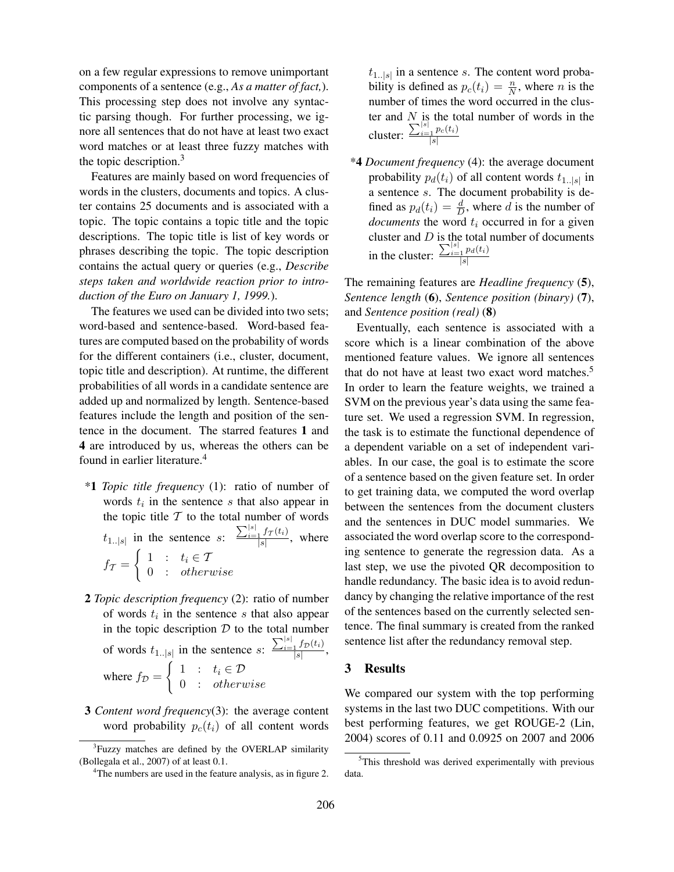on a few regular expressions to remove unimportant components of a sentence (e.g., *As a matter of fact,*). This processing step does not involve any syntactic parsing though. For further processing, we ignore all sentences that do not have at least two exact word matches or at least three fuzzy matches with the topic description.<sup>3</sup>

Features are mainly based on word frequencies of words in the clusters, documents and topics. A cluster contains 25 documents and is associated with a topic. The topic contains a topic title and the topic descriptions. The topic title is list of key words or phrases describing the topic. The topic description contains the actual query or queries (e.g., *Describe steps taken and worldwide reaction prior to introduction of the Euro on January 1, 1999.*).

The features we used can be divided into two sets; word-based and sentence-based. Word-based features are computed based on the probability of words for the different containers (i.e., cluster, document, topic title and description). At runtime, the different probabilities of all words in a candidate sentence are added up and normalized by length. Sentence-based features include the length and position of the sentence in the document. The starred features 1 and 4 are introduced by us, whereas the others can be found in earlier literature.<sup>4</sup>

- \*1 *Topic title frequency* (1): ratio of number of words  $t_i$  in the sentence s that also appear in the topic title  $T$  to the total number of words  $t_{1 \ldots |s|}$  in the sentence  $s: \frac{\sum_{i=1}^{|s|} f_T(t_i)}{|s|}$ , where  $f_{\mathcal{T}}=% {\textstyle\sum\nolimits_{\mathcal{K}}\left( \mathcal{K}_{\mathcal{K}}\right) ^{T}} \sum_{i=1}^{N_{\mathcal{K}}}r_{i}g_{i}^{\dag }$  $\int 1 : t_i \in \mathcal{I}$ 0 : otherwise
- 2 *Topic description frequency* (2): ratio of number of words  $t_i$  in the sentence s that also appear in the topic description  $D$  to the total number of words  $t_{1\ldots|s|}$  in the sentence  $s: \frac{\sum_{i=1}^{|s|} f_D(t_i)}{|s|}$ , where  $f_{\mathcal{D}} =$  $\int 1 : t_i \in \mathcal{D}$ 0 : otherwise
- 3 *Content word frequency*(3): the average content word probability  $p_c(t_i)$  of all content words

 $t_{1 \dots |s|}$  in a sentence s. The content word probability is defined as  $p_c(t_i) = \frac{n}{N}$ , where *n* is the number of times the word occurred in the cluster and  $N$  is the total number of words in the cluster:  $\frac{\sum_{i=1}^{|s|} p_c(t_i)}{|s|}$ 

\*4 *Document frequency* (4): the average document probability  $p_d(t_i)$  of all content words  $t_{1..|s|}$  in a sentence s. The document probability is defined as  $p_d(t_i) = \frac{d}{D}$ , where d is the number of *documents* the word  $t_i$  occurred in for a given cluster and  $D$  is the total number of documents in the cluster:  $\frac{\sum_{i=1}^{|s|} p_d(t_i)}{|s|}$ 

The remaining features are *Headline frequency* (5), *Sentence length* (6), *Sentence position (binary)* (7), and *Sentence position (real)* (8)

Eventually, each sentence is associated with a score which is a linear combination of the above mentioned feature values. We ignore all sentences that do not have at least two exact word matches.<sup>5</sup> In order to learn the feature weights, we trained a SVM on the previous year's data using the same feature set. We used a regression SVM. In regression, the task is to estimate the functional dependence of a dependent variable on a set of independent variables. In our case, the goal is to estimate the score of a sentence based on the given feature set. In order to get training data, we computed the word overlap between the sentences from the document clusters and the sentences in DUC model summaries. We associated the word overlap score to the corresponding sentence to generate the regression data. As a last step, we use the pivoted QR decomposition to handle redundancy. The basic idea is to avoid redundancy by changing the relative importance of the rest of the sentences based on the currently selected sentence. The final summary is created from the ranked sentence list after the redundancy removal step.

## 3 Results

We compared our system with the top performing systems in the last two DUC competitions. With our best performing features, we get ROUGE-2 (Lin, 2004) scores of 0.11 and 0.0925 on 2007 and 2006

<sup>&</sup>lt;sup>3</sup>Fuzzy matches are defined by the OVERLAP similarity (Bollegala et al., 2007) of at least 0.1.

<sup>&</sup>lt;sup>4</sup>The numbers are used in the feature analysis, as in figure 2.

<sup>&</sup>lt;sup>5</sup>This threshold was derived experimentally with previous data.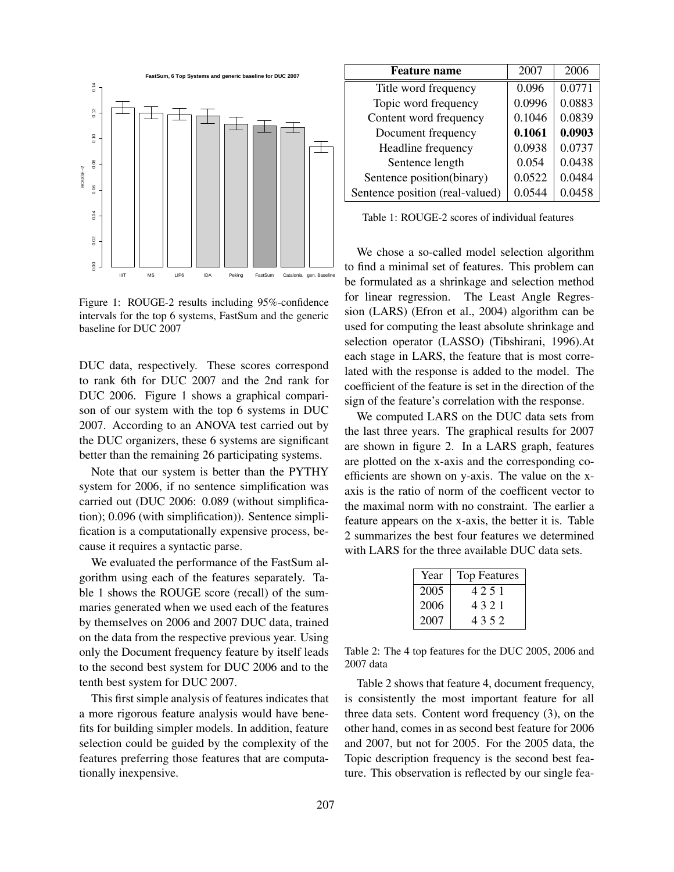

Figure 1: ROUGE-2 results including 95%-confidence intervals for the top 6 systems, FastSum and the generic baseline for DUC 2007

DUC data, respectively. These scores correspond to rank 6th for DUC 2007 and the 2nd rank for DUC 2006. Figure 1 shows a graphical comparison of our system with the top 6 systems in DUC 2007. According to an ANOVA test carried out by the DUC organizers, these 6 systems are significant better than the remaining 26 participating systems.

Note that our system is better than the PYTHY system for 2006, if no sentence simplification was carried out (DUC 2006: 0.089 (without simplification); 0.096 (with simplification)). Sentence simplification is a computationally expensive process, because it requires a syntactic parse.

We evaluated the performance of the FastSum algorithm using each of the features separately. Table 1 shows the ROUGE score (recall) of the summaries generated when we used each of the features by themselves on 2006 and 2007 DUC data, trained on the data from the respective previous year. Using only the Document frequency feature by itself leads to the second best system for DUC 2006 and to the tenth best system for DUC 2007.

This first simple analysis of features indicates that a more rigorous feature analysis would have benefits for building simpler models. In addition, feature selection could be guided by the complexity of the features preferring those features that are computationally inexpensive.

| <b>Feature name</b>             | 2007   | 2006   |
|---------------------------------|--------|--------|
| Title word frequency            | 0.096  | 0.0771 |
| Topic word frequency            | 0.0996 | 0.0883 |
| Content word frequency          | 0.1046 | 0.0839 |
| Document frequency              | 0.1061 | 0.0903 |
| Headline frequency              | 0.0938 | 0.0737 |
| Sentence length                 | 0.054  | 0.0438 |
| Sentence position(binary)       | 0.0522 | 0.0484 |
| Sentence position (real-valued) | 0.0544 | 0.0458 |

Table 1: ROUGE-2 scores of individual features

We chose a so-called model selection algorithm to find a minimal set of features. This problem can be formulated as a shrinkage and selection method for linear regression. The Least Angle Regression (LARS) (Efron et al., 2004) algorithm can be used for computing the least absolute shrinkage and selection operator (LASSO) (Tibshirani, 1996).At each stage in LARS, the feature that is most correlated with the response is added to the model. The coefficient of the feature is set in the direction of the sign of the feature's correlation with the response.

We computed LARS on the DUC data sets from the last three years. The graphical results for 2007 are shown in figure 2. In a LARS graph, features are plotted on the x-axis and the corresponding coefficients are shown on y-axis. The value on the xaxis is the ratio of norm of the coefficent vector to the maximal norm with no constraint. The earlier a feature appears on the x-axis, the better it is. Table 2 summarizes the best four features we determined with LARS for the three available DUC data sets.

| Year | <b>Top Features</b> |
|------|---------------------|
| 2005 | 4251                |
| 2006 | 4321                |
| 2007 | 4352                |

Table 2: The 4 top features for the DUC 2005, 2006 and 2007 data

Table 2 shows that feature 4, document frequency, is consistently the most important feature for all three data sets. Content word frequency (3), on the other hand, comes in as second best feature for 2006 and 2007, but not for 2005. For the 2005 data, the Topic description frequency is the second best feature. This observation is reflected by our single fea-